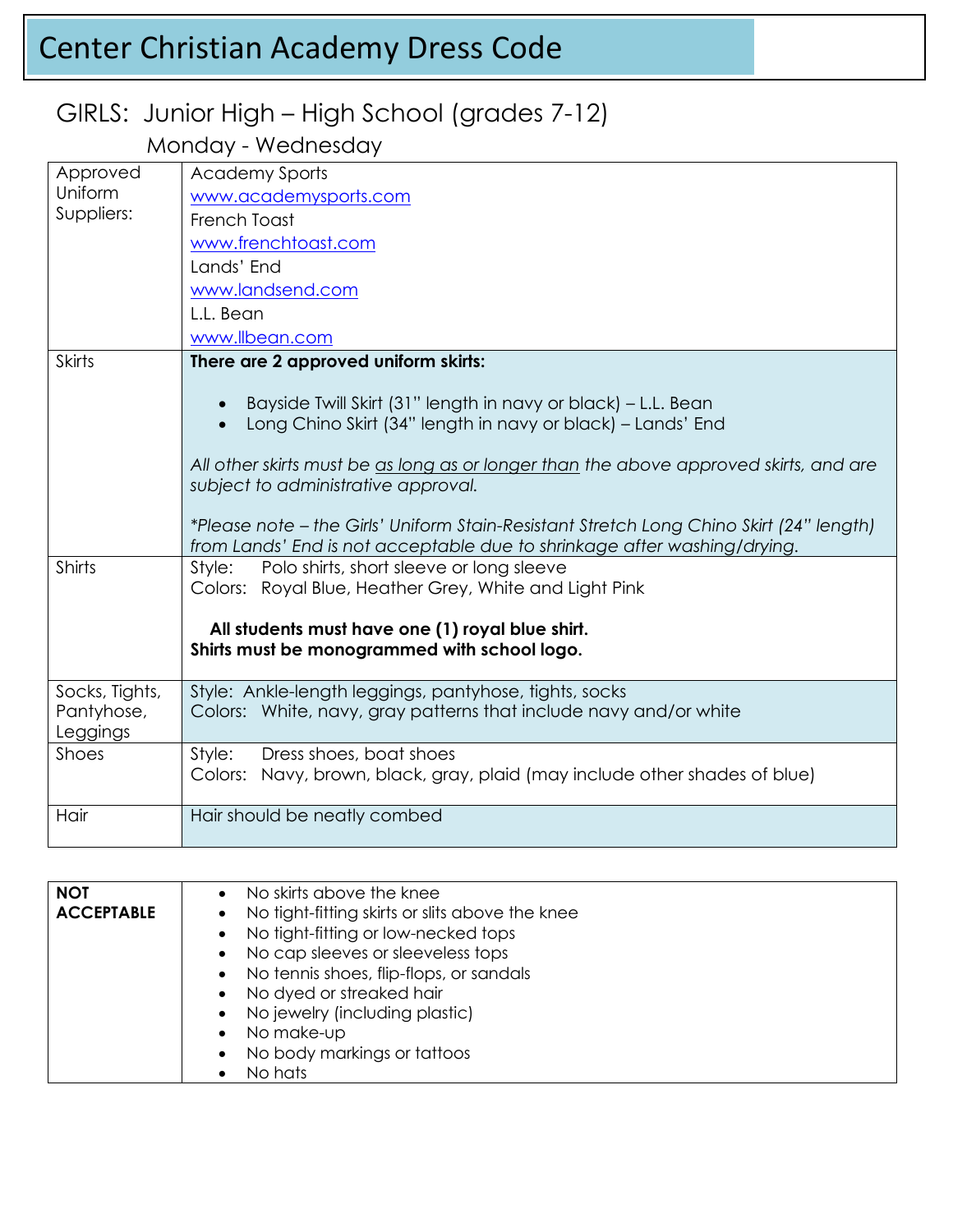# Center Christian Academy Dress Code

### GIRLS: Junior High – High School (grades 7-12)

Monday - Wednesday

| Approved       | <b>Academy Sports</b>                                                                            |
|----------------|--------------------------------------------------------------------------------------------------|
| Uniform        | www.academysports.com                                                                            |
| Suppliers:     | French Toast                                                                                     |
|                | www.frenchtoast.com                                                                              |
|                | Lands' End                                                                                       |
|                | www.landsend.com                                                                                 |
|                | L.L. Bean                                                                                        |
|                | www.llbean.com                                                                                   |
| <b>Skirts</b>  | There are 2 approved uniform skirts:                                                             |
|                |                                                                                                  |
|                | Bayside Twill Skirt (31" length in navy or black) – L.L. Bean<br>$\bullet$                       |
|                | Long Chino Skirt (34" length in navy or black) - Lands' End                                      |
|                | All other skirts must be as long as or longer than the above approved skirts, and are            |
|                | subject to administrative approval.                                                              |
|                |                                                                                                  |
|                | *Please note - the Girls' Uniform Stain-Resistant Stretch Long Chino Skirt (24" length)          |
|                | from Lands' End is not acceptable due to shrinkage after washing/drying.                         |
| Shirts         | Polo shirts, short sleeve or long sleeve<br>Style:                                               |
|                | Colors: Royal Blue, Heather Grey, White and Light Pink                                           |
|                |                                                                                                  |
|                | All students must have one (1) royal blue shirt.<br>Shirts must be monogrammed with school logo. |
|                |                                                                                                  |
| Socks, Tights, | Style: Ankle-length leggings, pantyhose, tights, socks                                           |
| Pantyhose,     | Colors: White, navy, gray patterns that include navy and/or white                                |
| Leggings       |                                                                                                  |
| Shoes          | Dress shoes, boat shoes<br>Style:                                                                |
|                | Colors: Navy, brown, black, gray, plaid (may include other shades of blue)                       |
| Hair           | Hair should be neatly combed                                                                     |
|                |                                                                                                  |

| <b>NOT</b>        | No skirts above the knee                          |
|-------------------|---------------------------------------------------|
| <b>ACCEPTABLE</b> | • No tight-fitting skirts or slits above the knee |
|                   | • No tight-fitting or low-necked tops             |
|                   | • No cap sleeves or sleeveless tops               |
|                   | • No tennis shoes, flip-flops, or sandals         |
|                   | • No dyed or streaked hair                        |
|                   | • No jewelry (including plastic)                  |
|                   | • No make-up                                      |
|                   | No body markings or tattoos<br>$\bullet$          |
|                   | No hats                                           |